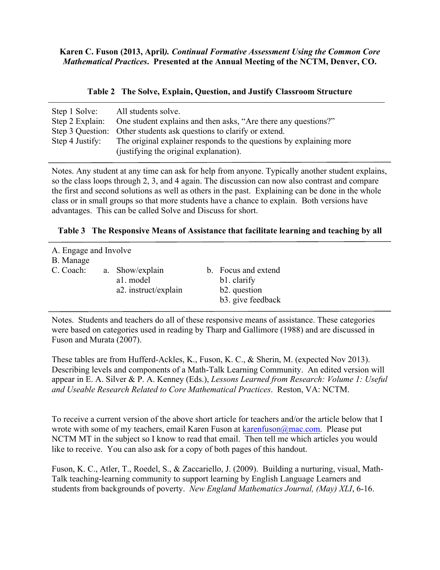**Karen C. Fuson (2013, April***). Continual Formative Assessment Using the Common Core Mathematical Practices***. Presented at the Annual Meeting of the NCTM, Denver, CO.**

|  |  |  |  | Table 2 The Solve, Explain, Question, and Justify Classroom Structure |  |  |
|--|--|--|--|-----------------------------------------------------------------------|--|--|
|--|--|--|--|-----------------------------------------------------------------------|--|--|

| Step 1 Solve:   | All students solve.                                                            |
|-----------------|--------------------------------------------------------------------------------|
|                 | Step 2 Explain: One student explains and then asks, "Are there any questions?" |
|                 | Step 3 Question: Other students ask questions to clarify or extend.            |
| Step 4 Justify: | The original explainer responds to the questions by explaining more            |
|                 | (justifying the original explanation).                                         |

Notes. Any student at any time can ask for help from anyone. Typically another student explains, so the class loops through 2, 3, and 4 again. The discussion can now also contrast and compare the first and second solutions as well as others in the past. Explaining can be done in the whole class or in small groups so that more students have a chance to explain. Both versions have advantages. This can be called Solve and Discuss for short.

| Table 3 The Responsive Means of Assistance that facilitate learning and teaching by all |
|-----------------------------------------------------------------------------------------|
|-----------------------------------------------------------------------------------------|

| A. Engage and Involve<br>B. Manage |                                                      |                                                                         |
|------------------------------------|------------------------------------------------------|-------------------------------------------------------------------------|
| C. Coach:                          | a. Show/explain<br>a1. model<br>a2. instruct/explain | b. Focus and extend<br>b1. clarify<br>b2. question<br>b3. give feedback |

Notes. Students and teachers do all of these responsive means of assistance. These categories were based on categories used in reading by Tharp and Gallimore (1988) and are discussed in Fuson and Murata (2007).

These tables are from Hufferd-Ackles, K., Fuson, K. C., & Sherin, M. (expected Nov 2013). Describing levels and components of a Math-Talk Learning Community. An edited version will appear in E. A. Silver & P. A. Kenney (Eds.), *Lessons Learned from Research: Volume 1: Useful and Useable Research Related to Core Mathematical Practices*. Reston, VA: NCTM.

To receive a current version of the above short article for teachers and/or the article below that I wrote with some of my teachers, email Karen Fuson at karenfuson@mac.com. Please put NCTM MT in the subject so I know to read that email. Then tell me which articles you would like to receive. You can also ask for a copy of both pages of this handout.

Fuson, K. C., Atler, T., Roedel, S., & Zaccariello, J. (2009). Building a nurturing, visual, Math-Talk teaching-learning community to support learning by English Language Learners and students from backgrounds of poverty. *New England Mathematics Journal, (May) XLI*, 6-16.